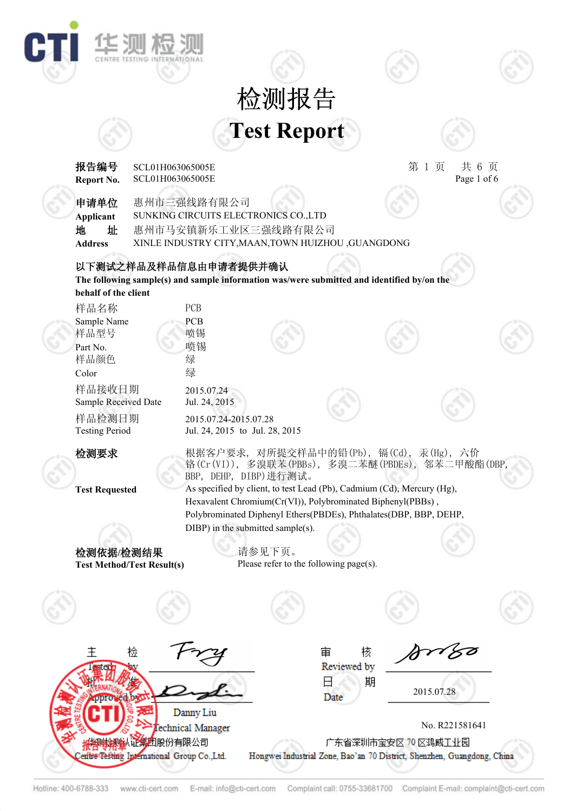## **Test Report** 检测报告

华测板



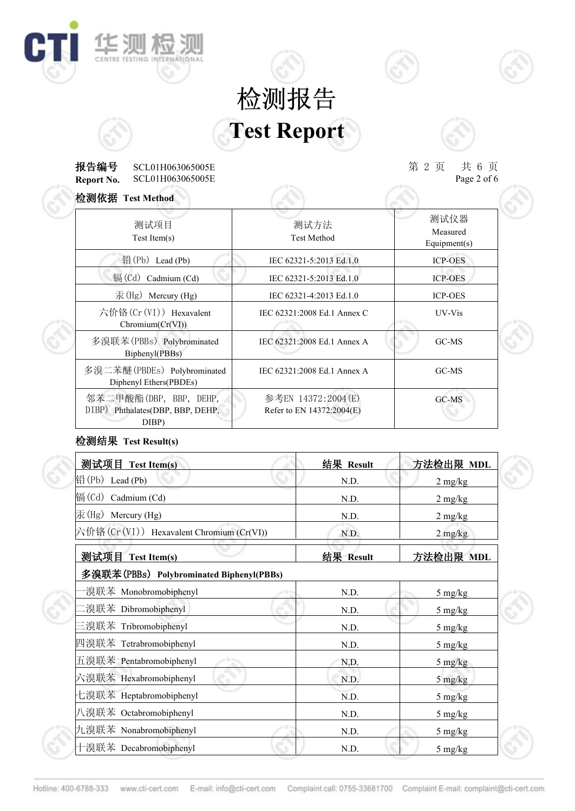## **Test Report** 检测报告

#### **Report No. 报告编号** SCL01H063065005E 第 2 页 共 6 页 SCL01H063065005E  $T_{\text{eff}}$   $T_{\text{eff}}$   $T_{\text{eff}}$   $T_{\text{eff}}$   $T_{\text{eff}}$   $T_{\text{eff}}$   $T_{\text{eff}}$   $T_{\text{eff}}$   $T_{\text{eff}}$   $T_{\text{eff}}$   $T_{\text{eff}}$   $T_{\text{eff}}$   $T_{\text{eff}}$   $T_{\text{eff}}$   $T_{\text{eff}}$   $T_{\text{eff}}$   $T_{\text{eff}}$   $T_{\text{eff}}$   $T_{\text{eff}}$   $T_{\text{eff}}$   $T_{\text{eff}}$   $T_{\text{eff}}$

**THE SUN THE SUN** 

C

 $\# 6 \nexists \nspace 2 of 6$ 

| 检测依据 Test Method                                                    |                                                 |                                  |
|---------------------------------------------------------------------|-------------------------------------------------|----------------------------------|
| 测试项目<br>Test Item(s)                                                | 测试方法<br><b>Test Method</b>                      | 测试仪器<br>Measured<br>Equipment(s) |
| 铅(Pb) Lead (Pb)                                                     | IEC 62321-5:2013 Ed.1.0                         | <b>ICP-OES</b>                   |
| 镉 $(Cd)$ Cadmium $(Cd)$                                             | IEC 62321-5:2013 Ed.1.0                         | <b>ICP-OES</b>                   |
| $\bar{\mathcal{F}}$ (Hg) Mercury (Hg)                               | IEC 62321-4:2013 Ed.1.0                         | <b>ICP-OES</b>                   |
| 六价铬(Cr(VI)) Hexavalent<br>Chromium(Cr(VI))                          | IEC 62321:2008 Ed.1 Annex C                     | UV-Vis                           |
| 多溴联苯(PBBs) Polybrominated<br>Biphenyl(PBBs)                         | IEC 62321:2008 Ed.1 Annex A                     | GC-MS                            |
| 多溴二苯醚(PBDEs) Polybrominated<br>Diphenyl Ethers(PBDEs)               | IEC 62321:2008 Ed.1 Annex A                     | GC-MS                            |
| 邻苯二甲酸酯(DBP, BBP, DEHP,<br>DIBP) Phthalates(DBP, BBP, DEHP,<br>DIBP) | 参考EN 14372:2004(E)<br>Refer to EN 14372:2004(E) | GC-MS                            |

## 检测结果 **Test Result(s)**

| 测试项目 Test Item(s)                        | 结果 Result | 方法检出限 MDL                       |
|------------------------------------------|-----------|---------------------------------|
| $\mathbb{H}(\mathrm{Pb})$ Lead (Pb)      | N.D.      | $2 \frac{\text{mg}}{\text{kg}}$ |
| 镉(Cd) Cadmium (Cd)                       | N.D.      | $2 \text{ mg/kg}$               |
| 汞(Hg) Mercury (Hg)                       | N.D.      | $2 \text{ mg/kg}$               |
| 六价铬(Cr(VI)) Hexavalent Chromium (Cr(VI)) | N.D.      | $2 \frac{\text{mg}}{\text{kg}}$ |
| 测试项目 Test Item(s)                        | 结果 Result | 方法检出限 MDL                       |
| 多溴联苯(PBBs) Polybrominated Biphenyl(PBBs) |           |                                 |
| ·溴联苯 Monobromobiphenyl                   | N.D.      | $5 \text{ mg/kg}$               |
| .溴联苯 Dibromobiphenyl                     | N.D.      | $5 \text{ mg/kg}$               |
| 三溴联苯 Tribromobiphenyl                    | N.D.      | 5 mg/kg                         |
| 四溴联苯 Tetrabromobiphenyl                  | N.D.      | $5 \text{ mg/kg}$               |
| 五溴联苯 Pentabromobiphenyl                  | N.D.      | $5 \text{ mg/kg}$               |
| 六溴联苯 Hexabromobiphenyl                   | N.D.      | 5 mg/kg                         |
| 七溴联苯 Heptabromobiphenyl                  | N.D.      | 5 mg/kg                         |
| 八溴联苯 Octabromobiphenyl                   | N.D.      | 5 mg/kg                         |
| 九溴联苯 Nonabromobiphenyl                   | N.D.      | 5 mg/kg                         |
| 十溴联苯 Decabromobiphenyl                   | N.D.      | 5 mg/kg                         |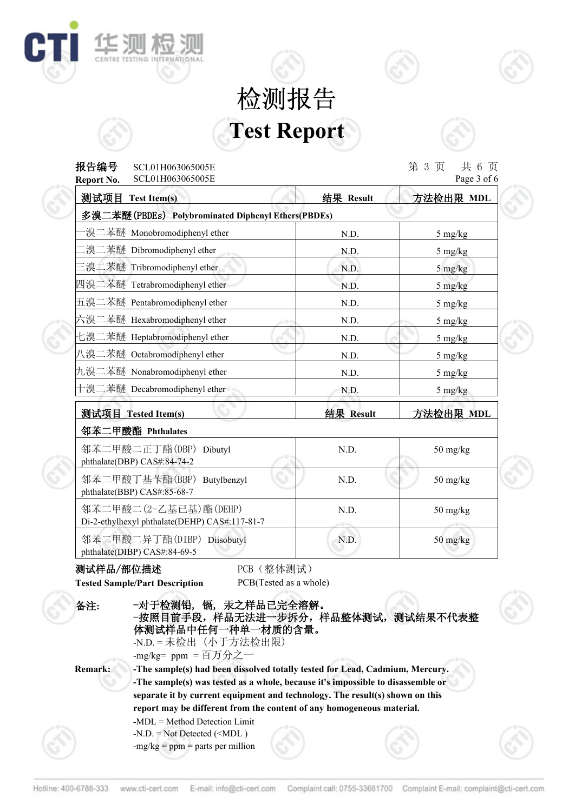# **Test Report** 检测报告



# **报告编号** SCL01H063065005E 第 3 页 共 6 页

| SCL01H063065005E<br>Report No.                                         |                 | Page 3 of 6                     |
|------------------------------------------------------------------------|-----------------|---------------------------------|
| 测试项目 Test Item(s)                                                      | 结果 Result       | 方法检出限 MDL                       |
| 多溴二苯醚(PBDEs) Polybrominated Diphenyl Ethers(PBDEs)                     |                 |                                 |
| ·溴二苯醚 Monobromodiphenyl ether                                          | N.D.            | $5 \text{ mg/kg}$               |
| .溴二苯醚 Dibromodiphenyl ether                                            | N.D.            | 5 mg/kg                         |
| 三溴二苯醚 Tribromodiphenyl ether                                           | N.D.            | 5 mg/kg                         |
| 四溴二苯醚 Tetrabromodiphenyl ether                                         | N.D.            | $5 \frac{\text{mg}}{\text{kg}}$ |
| 五溴二苯醚 Pentabromodiphenyl ether                                         | N.D.            | $5 \frac{\text{mg}}{\text{kg}}$ |
| 六溴二苯醚 Hexabromodiphenyl ether                                          | N.D.<br>- 0     | $5 \frac{\text{mg}}{\text{kg}}$ |
| 七溴二苯醚 Heptabromodiphenyl ether                                         | N.D.            | $5 \text{ mg/kg}$               |
| 八溴二苯醚 Octabromodiphenyl ether                                          | N.D.            | $5 \frac{\text{mg}}{\text{kg}}$ |
| 九溴二苯醚 Nonabromodiphenyl ether                                          | N.D.            | $5 \frac{\text{mg}}{\text{kg}}$ |
| 十溴二苯醚 Decabromodiphenyl ether                                          | N.D.            | $5 \frac{\text{mg}}{\text{kg}}$ |
| 测试项目 Tested Item(s)                                                    | 结果 Result       | 方法检出限 MDL                       |
| 邻苯二甲酸酯 Phthalates                                                      |                 |                                 |
| 邻苯二甲酸二正丁酯(DBP) Dibutyl<br>phthalate(DBP) CAS#:84-74-2                  | N.D.            | $50$ mg/kg                      |
| 邻苯二甲酸丁基苄酯(BBP) Butylbenzyl<br>phthalate(BBP) CAS#:85-68-7              | N.D.            | $50 \text{ mg/kg}$              |
| 邻苯二甲酸二(2-乙基已基)酯(DEHP)<br>Di-2-ethylhexyl phthalate(DEHP) CAS#:117-81-7 | N.D.<br>$-0.55$ | $50$ mg/kg                      |
| 邻苯二甲酸二异丁酯(DIBP) Diisobutyl<br>phthalate(DIBP) CAS#:84-69-5             | N.D.            | $50$ mg/kg                      |

### **测试样品/部位描述 PCB**(整体测试)

华测

**Tested Sample/Part Description** PCB(Tested as a whole)

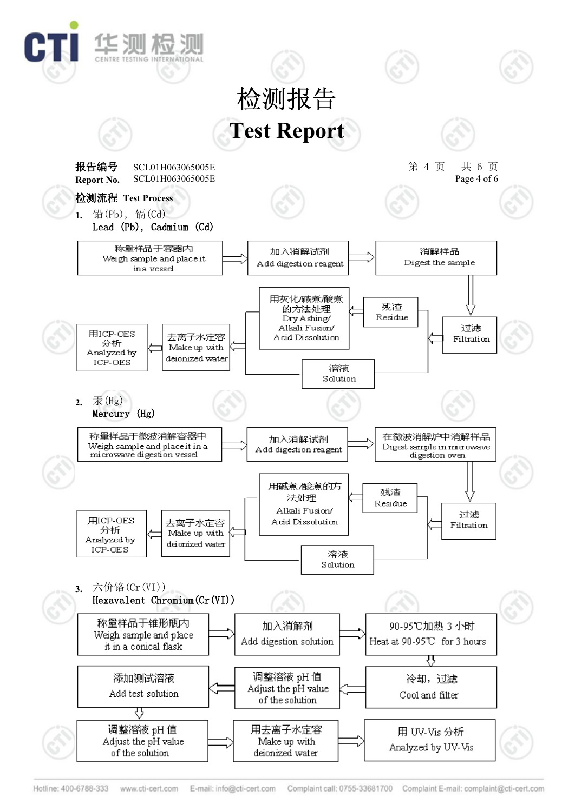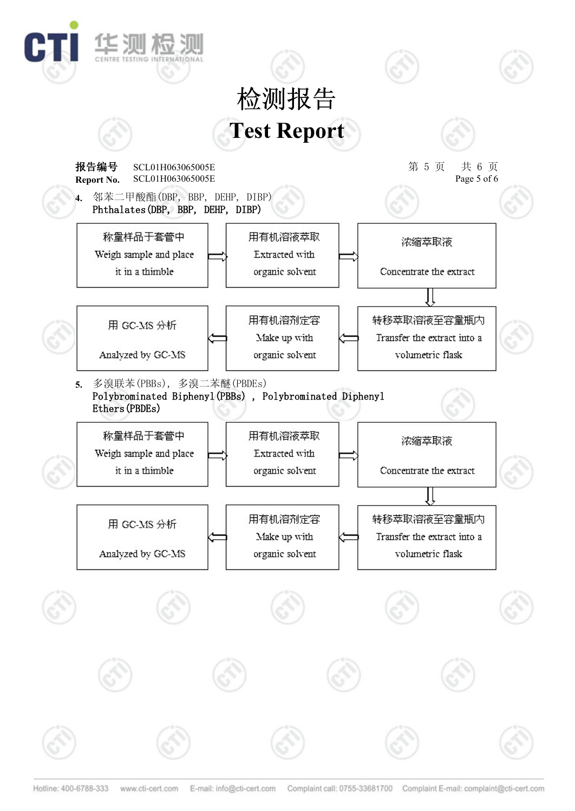